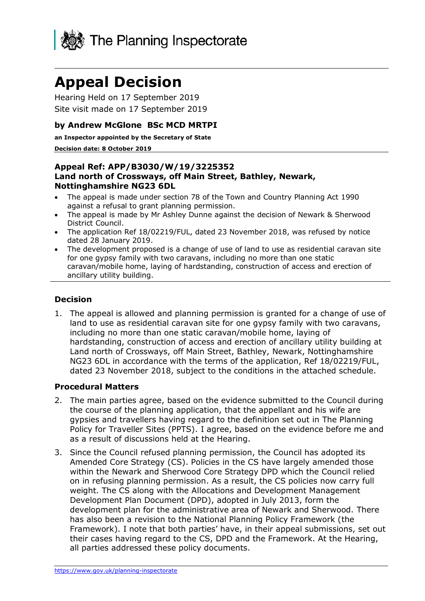

# **Appeal Decision**

Hearing Held on 17 September 2019 Site visit made on 17 September 2019

## **by Andrew McGlone BSc MCD MRTPI**

**an Inspector appointed by the Secretary of State**

#### **Decision date: 8 October 2019**

#### **Appeal Ref: APP/B3030/W/19/3225352 Land north of Crossways, off Main Street, Bathley, Newark, Nottinghamshire NG23 6DL**

- The appeal is made under section 78 of the Town and Country Planning Act 1990 against a refusal to grant planning permission.
- The appeal is made by Mr Ashley Dunne against the decision of Newark & Sherwood District Council.
- The application Ref 18/02219/FUL, dated 23 November 2018, was refused by notice dated 28 January 2019.
- The development proposed is a change of use of land to use as residential caravan site for one gypsy family with two caravans, including no more than one static caravan/mobile home, laying of hardstanding, construction of access and erection of ancillary utility building.

## **Decision**

1. The appeal is allowed and planning permission is granted for a change of use of land to use as residential caravan site for one gypsy family with two caravans, including no more than one static caravan/mobile home, laying of hardstanding, construction of access and erection of ancillary utility building at Land north of Crossways, off Main Street, Bathley, Newark, Nottinghamshire NG23 6DL in accordance with the terms of the application, Ref 18/02219/FUL, dated 23 November 2018, subject to the conditions in the attached schedule.

## **Procedural Matters**

- 2. The main parties agree, based on the evidence submitted to the Council during the course of the planning application, that the appellant and his wife are gypsies and travellers having regard to the definition set out in The Planning Policy for Traveller Sites (PPTS). I agree, based on the evidence before me and as a result of discussions held at the Hearing.
- 3. Since the Council refused planning permission, the Council has adopted its Amended Core Strategy (CS). Policies in the CS have largely amended those within the Newark and Sherwood Core Strategy DPD which the Council relied on in refusing planning permission. As a result, the CS policies now carry full weight. The CS along with the Allocations and Development Management Development Plan Document (DPD), adopted in July 2013, form the development plan for the administrative area of Newark and Sherwood. There has also been a revision to the National Planning Policy Framework (the Framework). I note that both parties' have, in their appeal submissions, set out their cases having regard to the CS, DPD and the Framework. At the Hearing, all parties addressed these policy documents.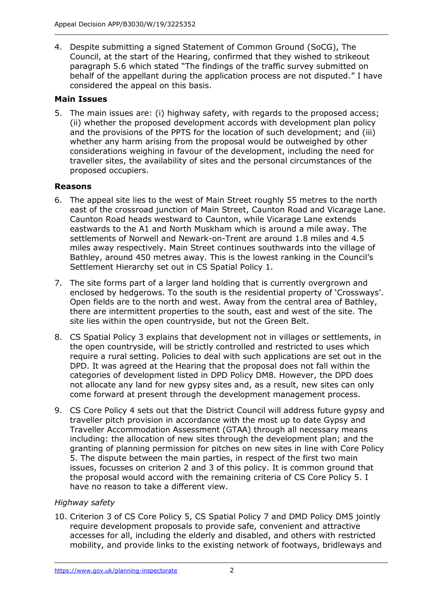4. Despite submitting a signed Statement of Common Ground (SoCG), The Council, at the start of the Hearing, confirmed that they wished to strikeout paragraph 5.6 which stated "The findings of the traffic survey submitted on behalf of the appellant during the application process are not disputed." I have considered the appeal on this basis.

# **Main Issues**

5. The main issues are: (i) highway safety, with regards to the proposed access; (ii) whether the proposed development accords with development plan policy and the provisions of the PPTS for the location of such development; and (iii) whether any harm arising from the proposal would be outweighed by other considerations weighing in favour of the development, including the need for traveller sites, the availability of sites and the personal circumstances of the proposed occupiers.

# **Reasons**

- 6. The appeal site lies to the west of Main Street roughly 55 metres to the north east of the crossroad junction of Main Street, Caunton Road and Vicarage Lane. Caunton Road heads westward to Caunton, while Vicarage Lane extends eastwards to the A1 and North Muskham which is around a mile away. The settlements of Norwell and Newark-on-Trent are around 1.8 miles and 4.5 miles away respectively. Main Street continues southwards into the village of Bathley, around 450 metres away. This is the lowest ranking in the Council's Settlement Hierarchy set out in CS Spatial Policy 1.
- 7. The site forms part of a larger land holding that is currently overgrown and enclosed by hedgerows. To the south is the residential property of 'Crossways'. Open fields are to the north and west. Away from the central area of Bathley, there are intermittent properties to the south, east and west of the site. The site lies within the open countryside, but not the Green Belt.
- 8. CS Spatial Policy 3 explains that development not in villages or settlements, in the open countryside, will be strictly controlled and restricted to uses which require a rural setting. Policies to deal with such applications are set out in the DPD. It was agreed at the Hearing that the proposal does not fall within the categories of development listed in DPD Policy DM8. However, the DPD does not allocate any land for new gypsy sites and, as a result, new sites can only come forward at present through the development management process.
- 9. CS Core Policy 4 sets out that the District Council will address future gypsy and traveller pitch provision in accordance with the most up to date Gypsy and Traveller Accommodation Assessment (GTAA) through all necessary means including: the allocation of new sites through the development plan; and the granting of planning permission for pitches on new sites in line with Core Policy 5. The dispute between the main parties, in respect of the first two main issues, focusses on criterion 2 and 3 of this policy. It is common ground that the proposal would accord with the remaining criteria of CS Core Policy 5. I have no reason to take a different view.

# *Highway safety*

10. Criterion 3 of CS Core Policy 5, CS Spatial Policy 7 and DMD Policy DM5 jointly require development proposals to provide safe, convenient and attractive accesses for all, including the elderly and disabled, and others with restricted mobility, and provide links to the existing network of footways, bridleways and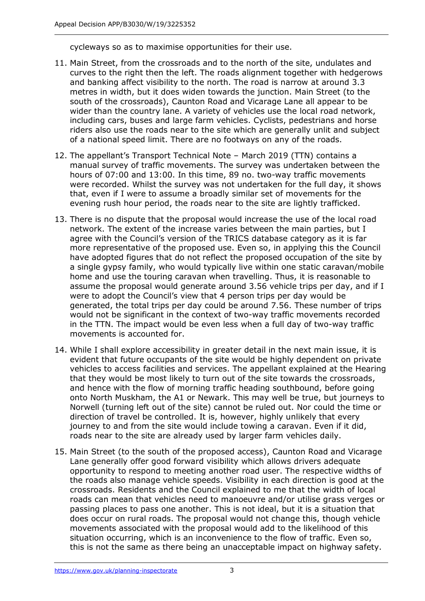cycleways so as to maximise opportunities for their use.

- 11. Main Street, from the crossroads and to the north of the site, undulates and curves to the right then the left. The roads alignment together with hedgerows and banking affect visibility to the north. The road is narrow at around 3.3 metres in width, but it does widen towards the junction. Main Street (to the south of the crossroads), Caunton Road and Vicarage Lane all appear to be wider than the country lane. A variety of vehicles use the local road network, including cars, buses and large farm vehicles. Cyclists, pedestrians and horse riders also use the roads near to the site which are generally unlit and subject of a national speed limit. There are no footways on any of the roads.
- 12. The appellant's Transport Technical Note March 2019 (TTN) contains a manual survey of traffic movements. The survey was undertaken between the hours of 07:00 and 13:00. In this time, 89 no. two-way traffic movements were recorded. Whilst the survey was not undertaken for the full day, it shows that, even if I were to assume a broadly similar set of movements for the evening rush hour period, the roads near to the site are lightly trafficked.
- 13. There is no dispute that the proposal would increase the use of the local road network. The extent of the increase varies between the main parties, but I agree with the Council's version of the TRICS database category as it is far more representative of the proposed use. Even so, in applying this the Council have adopted figures that do not reflect the proposed occupation of the site by a single gypsy family, who would typically live within one static caravan/mobile home and use the touring caravan when travelling. Thus, it is reasonable to assume the proposal would generate around 3.56 vehicle trips per day, and if I were to adopt the Council's view that 4 person trips per day would be generated, the total trips per day could be around 7.56. These number of trips would not be significant in the context of two-way traffic movements recorded in the TTN. The impact would be even less when a full day of two-way traffic movements is accounted for.
- 14. While I shall explore accessibility in greater detail in the next main issue, it is evident that future occupants of the site would be highly dependent on private vehicles to access facilities and services. The appellant explained at the Hearing that they would be most likely to turn out of the site towards the crossroads, and hence with the flow of morning traffic heading southbound, before going onto North Muskham, the A1 or Newark. This may well be true, but journeys to Norwell (turning left out of the site) cannot be ruled out. Nor could the time or direction of travel be controlled. It is, however, highly unlikely that every journey to and from the site would include towing a caravan. Even if it did, roads near to the site are already used by larger farm vehicles daily.
- 15. Main Street (to the south of the proposed access), Caunton Road and Vicarage Lane generally offer good forward visibility which allows drivers adequate opportunity to respond to meeting another road user. The respective widths of the roads also manage vehicle speeds. Visibility in each direction is good at the crossroads. Residents and the Council explained to me that the width of local roads can mean that vehicles need to manoeuvre and/or utilise grass verges or passing places to pass one another. This is not ideal, but it is a situation that does occur on rural roads. The proposal would not change this, though vehicle movements associated with the proposal would add to the likelihood of this situation occurring, which is an inconvenience to the flow of traffic. Even so, this is not the same as there being an unacceptable impact on highway safety.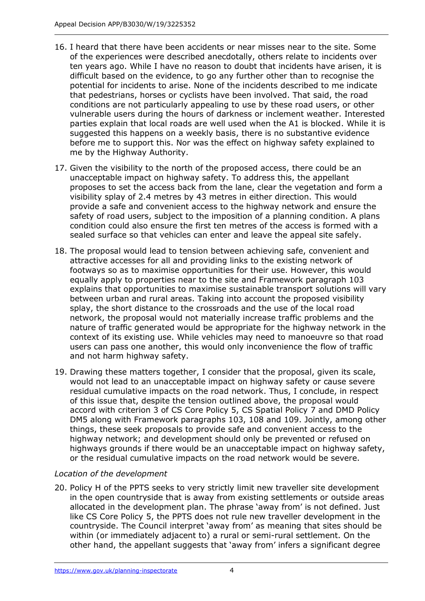- 16. I heard that there have been accidents or near misses near to the site. Some of the experiences were described anecdotally, others relate to incidents over ten years ago. While I have no reason to doubt that incidents have arisen, it is difficult based on the evidence, to go any further other than to recognise the potential for incidents to arise. None of the incidents described to me indicate that pedestrians, horses or cyclists have been involved. That said, the road conditions are not particularly appealing to use by these road users, or other vulnerable users during the hours of darkness or inclement weather. Interested parties explain that local roads are well used when the A1 is blocked. While it is suggested this happens on a weekly basis, there is no substantive evidence before me to support this. Nor was the effect on highway safety explained to me by the Highway Authority.
- 17. Given the visibility to the north of the proposed access, there could be an unacceptable impact on highway safety. To address this, the appellant proposes to set the access back from the lane, clear the vegetation and form a visibility splay of 2.4 metres by 43 metres in either direction. This would provide a safe and convenient access to the highway network and ensure the safety of road users, subject to the imposition of a planning condition. A plans condition could also ensure the first ten metres of the access is formed with a sealed surface so that vehicles can enter and leave the appeal site safely.
- 18. The proposal would lead to tension between achieving safe, convenient and attractive accesses for all and providing links to the existing network of footways so as to maximise opportunities for their use. However, this would equally apply to properties near to the site and Framework paragraph 103 explains that opportunities to maximise sustainable transport solutions will vary between urban and rural areas. Taking into account the proposed visibility splay, the short distance to the crossroads and the use of the local road network, the proposal would not materially increase traffic problems and the nature of traffic generated would be appropriate for the highway network in the context of its existing use. While vehicles may need to manoeuvre so that road users can pass one another, this would only inconvenience the flow of traffic and not harm highway safety.
- 19. Drawing these matters together, I consider that the proposal, given its scale, would not lead to an unacceptable impact on highway safety or cause severe residual cumulative impacts on the road network. Thus, I conclude, in respect of this issue that, despite the tension outlined above, the proposal would accord with criterion 3 of CS Core Policy 5, CS Spatial Policy 7 and DMD Policy DM5 along with Framework paragraphs 103, 108 and 109. Jointly, among other things, these seek proposals to provide safe and convenient access to the highway network; and development should only be prevented or refused on highways grounds if there would be an unacceptable impact on highway safety, or the residual cumulative impacts on the road network would be severe.

## *Location of the development*

20. Policy H of the PPTS seeks to very strictly limit new traveller site development in the open countryside that is away from existing settlements or outside areas allocated in the development plan. The phrase 'away from' is not defined. Just like CS Core Policy 5, the PPTS does not rule new traveller development in the countryside. The Council interpret 'away from' as meaning that sites should be within (or immediately adjacent to) a rural or semi-rural settlement. On the other hand, the appellant suggests that 'away from' infers a significant degree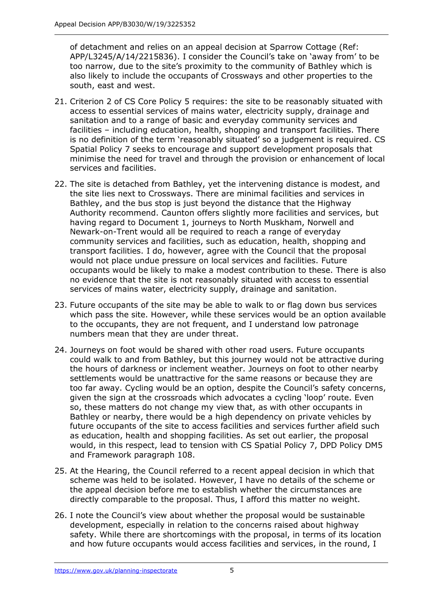of detachment and relies on an appeal decision at Sparrow Cottage (Ref: APP/L3245/A/14/2215836). I consider the Council's take on 'away from' to be too narrow, due to the site's proximity to the community of Bathley which is also likely to include the occupants of Crossways and other properties to the south, east and west.

- 21. Criterion 2 of CS Core Policy 5 requires: the site to be reasonably situated with access to essential services of mains water, electricity supply, drainage and sanitation and to a range of basic and everyday community services and facilities – including education, health, shopping and transport facilities. There is no definition of the term 'reasonably situated' so a judgement is required. CS Spatial Policy 7 seeks to encourage and support development proposals that minimise the need for travel and through the provision or enhancement of local services and facilities.
- 22. The site is detached from Bathley, yet the intervening distance is modest, and the site lies next to Crossways. There are minimal facilities and services in Bathley, and the bus stop is just beyond the distance that the Highway Authority recommend. Caunton offers slightly more facilities and services, but having regard to Document 1, journeys to North Muskham, Norwell and Newark-on-Trent would all be required to reach a range of everyday community services and facilities, such as education, health, shopping and transport facilities. I do, however, agree with the Council that the proposal would not place undue pressure on local services and facilities. Future occupants would be likely to make a modest contribution to these. There is also no evidence that the site is not reasonably situated with access to essential services of mains water, electricity supply, drainage and sanitation.
- 23. Future occupants of the site may be able to walk to or flag down bus services which pass the site. However, while these services would be an option available to the occupants, they are not frequent, and I understand low patronage numbers mean that they are under threat.
- 24. Journeys on foot would be shared with other road users. Future occupants could walk to and from Bathley, but this journey would not be attractive during the hours of darkness or inclement weather. Journeys on foot to other nearby settlements would be unattractive for the same reasons or because they are too far away. Cycling would be an option, despite the Council's safety concerns, given the sign at the crossroads which advocates a cycling 'loop' route. Even so, these matters do not change my view that, as with other occupants in Bathley or nearby, there would be a high dependency on private vehicles by future occupants of the site to access facilities and services further afield such as education, health and shopping facilities. As set out earlier, the proposal would, in this respect, lead to tension with CS Spatial Policy 7, DPD Policy DM5 and Framework paragraph 108.
- 25. At the Hearing, the Council referred to a recent appeal decision in which that scheme was held to be isolated. However, I have no details of the scheme or the appeal decision before me to establish whether the circumstances are directly comparable to the proposal. Thus, I afford this matter no weight.
- 26. I note the Council's view about whether the proposal would be sustainable development, especially in relation to the concerns raised about highway safety. While there are shortcomings with the proposal, in terms of its location and how future occupants would access facilities and services, in the round, I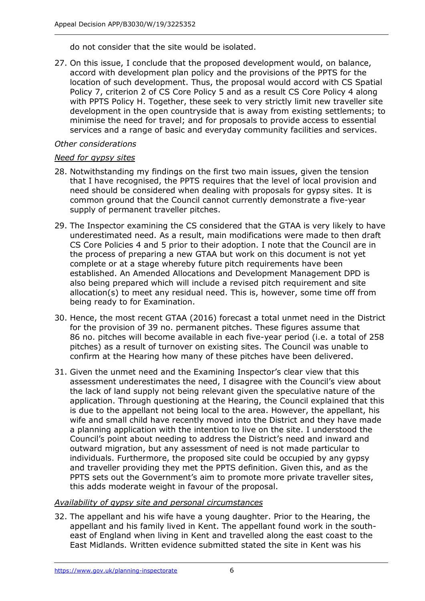do not consider that the site would be isolated.

27. On this issue, I conclude that the proposed development would, on balance, accord with development plan policy and the provisions of the PPTS for the location of such development. Thus, the proposal would accord with CS Spatial Policy 7, criterion 2 of CS Core Policy 5 and as a result CS Core Policy 4 along with PPTS Policy H. Together, these seek to very strictly limit new traveller site development in the open countryside that is away from existing settlements; to minimise the need for travel; and for proposals to provide access to essential services and a range of basic and everyday community facilities and services.

#### *Other considerations*

#### *Need for gypsy sites*

- 28. Notwithstanding my findings on the first two main issues, given the tension that I have recognised, the PPTS requires that the level of local provision and need should be considered when dealing with proposals for gypsy sites. It is common ground that the Council cannot currently demonstrate a five-year supply of permanent traveller pitches.
- 29. The Inspector examining the CS considered that the GTAA is very likely to have underestimated need. As a result, main modifications were made to then draft CS Core Policies 4 and 5 prior to their adoption. I note that the Council are in the process of preparing a new GTAA but work on this document is not yet complete or at a stage whereby future pitch requirements have been established. An Amended Allocations and Development Management DPD is also being prepared which will include a revised pitch requirement and site allocation(s) to meet any residual need. This is, however, some time off from being ready to for Examination.
- 30. Hence, the most recent GTAA (2016) forecast a total unmet need in the District for the provision of 39 no. permanent pitches. These figures assume that 86 no. pitches will become available in each five-year period (i.e. a total of 258 pitches) as a result of turnover on existing sites. The Council was unable to confirm at the Hearing how many of these pitches have been delivered.
- 31. Given the unmet need and the Examining Inspector's clear view that this assessment underestimates the need, I disagree with the Council's view about the lack of land supply not being relevant given the speculative nature of the application. Through questioning at the Hearing, the Council explained that this is due to the appellant not being local to the area. However, the appellant, his wife and small child have recently moved into the District and they have made a planning application with the intention to live on the site. I understood the Council's point about needing to address the District's need and inward and outward migration, but any assessment of need is not made particular to individuals. Furthermore, the proposed site could be occupied by any gypsy and traveller providing they met the PPTS definition. Given this, and as the PPTS sets out the Government's aim to promote more private traveller sites, this adds moderate weight in favour of the proposal.

## *Availability of gypsy site and personal circumstances*

32. The appellant and his wife have a young daughter. Prior to the Hearing, the appellant and his family lived in Kent. The appellant found work in the southeast of England when living in Kent and travelled along the east coast to the East Midlands. Written evidence submitted stated the site in Kent was his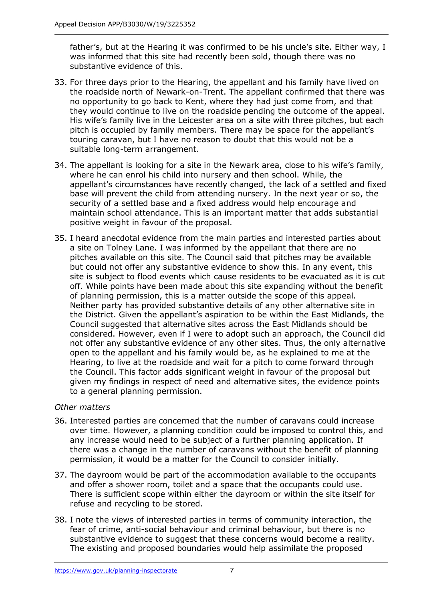father's, but at the Hearing it was confirmed to be his uncle's site. Either way, I was informed that this site had recently been sold, though there was no substantive evidence of this.

- 33. For three days prior to the Hearing, the appellant and his family have lived on the roadside north of Newark-on-Trent. The appellant confirmed that there was no opportunity to go back to Kent, where they had just come from, and that they would continue to live on the roadside pending the outcome of the appeal. His wife's family live in the Leicester area on a site with three pitches, but each pitch is occupied by family members. There may be space for the appellant's touring caravan, but I have no reason to doubt that this would not be a suitable long-term arrangement.
- 34. The appellant is looking for a site in the Newark area, close to his wife's family, where he can enrol his child into nursery and then school. While, the appellant's circumstances have recently changed, the lack of a settled and fixed base will prevent the child from attending nursery. In the next year or so, the security of a settled base and a fixed address would help encourage and maintain school attendance. This is an important matter that adds substantial positive weight in favour of the proposal.
- 35. I heard anecdotal evidence from the main parties and interested parties about a site on Tolney Lane. I was informed by the appellant that there are no pitches available on this site. The Council said that pitches may be available but could not offer any substantive evidence to show this. In any event, this site is subject to flood events which cause residents to be evacuated as it is cut off. While points have been made about this site expanding without the benefit of planning permission, this is a matter outside the scope of this appeal. Neither party has provided substantive details of any other alternative site in the District. Given the appellant's aspiration to be within the East Midlands, the Council suggested that alternative sites across the East Midlands should be considered. However, even if I were to adopt such an approach, the Council did not offer any substantive evidence of any other sites. Thus, the only alternative open to the appellant and his family would be, as he explained to me at the Hearing, to live at the roadside and wait for a pitch to come forward through the Council. This factor adds significant weight in favour of the proposal but given my findings in respect of need and alternative sites, the evidence points to a general planning permission.

## *Other matters*

- 36. Interested parties are concerned that the number of caravans could increase over time. However, a planning condition could be imposed to control this, and any increase would need to be subject of a further planning application. If there was a change in the number of caravans without the benefit of planning permission, it would be a matter for the Council to consider initially.
- 37. The dayroom would be part of the accommodation available to the occupants and offer a shower room, toilet and a space that the occupants could use. There is sufficient scope within either the dayroom or within the site itself for refuse and recycling to be stored.
- 38. I note the views of interested parties in terms of community interaction, the fear of crime, anti-social behaviour and criminal behaviour, but there is no substantive evidence to suggest that these concerns would become a reality. The existing and proposed boundaries would help assimilate the proposed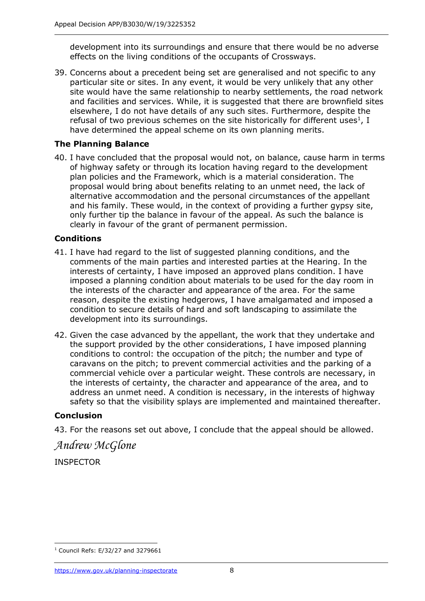development into its surroundings and ensure that there would be no adverse effects on the living conditions of the occupants of Crossways.

39. Concerns about a precedent being set are generalised and not specific to any particular site or sites. In any event, it would be very unlikely that any other site would have the same relationship to nearby settlements, the road network and facilities and services. While, it is suggested that there are brownfield sites elsewhere, I do not have details of any such sites. Furthermore, despite the refusal of two previous schemes on the site historically for different uses<sup>1</sup>, I have determined the appeal scheme on its own planning merits.

## **The Planning Balance**

40. I have concluded that the proposal would not, on balance, cause harm in terms of highway safety or through its location having regard to the development plan policies and the Framework, which is a material consideration. The proposal would bring about benefits relating to an unmet need, the lack of alternative accommodation and the personal circumstances of the appellant and his family. These would, in the context of providing a further gypsy site, only further tip the balance in favour of the appeal. As such the balance is clearly in favour of the grant of permanent permission.

## **Conditions**

- 41. I have had regard to the list of suggested planning conditions, and the comments of the main parties and interested parties at the Hearing. In the interests of certainty, I have imposed an approved plans condition. I have imposed a planning condition about materials to be used for the day room in the interests of the character and appearance of the area. For the same reason, despite the existing hedgerows, I have amalgamated and imposed a condition to secure details of hard and soft landscaping to assimilate the development into its surroundings.
- 42. Given the case advanced by the appellant, the work that they undertake and the support provided by the other considerations, I have imposed planning conditions to control: the occupation of the pitch; the number and type of caravans on the pitch; to prevent commercial activities and the parking of a commercial vehicle over a particular weight. These controls are necessary, in the interests of certainty, the character and appearance of the area, and to address an unmet need. A condition is necessary, in the interests of highway safety so that the visibility splays are implemented and maintained thereafter.

# **Conclusion**

43. For the reasons set out above, I conclude that the appeal should be allowed.

# *Andrew McGlone*

INSPECTOR

j  $1$  Council Refs: E/32/27 and 3279661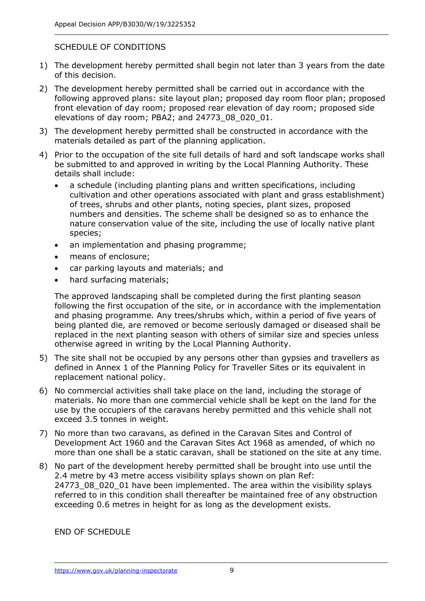## SCHEDULE OF CONDITIONS

- 1) The development hereby permitted shall begin not later than 3 years from the date of this decision.
- 2) The development hereby permitted shall be carried out in accordance with the following approved plans: site layout plan; proposed day room floor plan; proposed front elevation of day room; proposed rear elevation of day room; proposed side elevations of day room; PBA2; and 24773\_08\_020\_01.
- 3) The development hereby permitted shall be constructed in accordance with the materials detailed as part of the planning application.
- 4) Prior to the occupation of the site full details of hard and soft landscape works shall be submitted to and approved in writing by the Local Planning Authority. These details shall include:
	- a schedule (including planting plans and written specifications, including cultivation and other operations associated with plant and grass establishment) of trees, shrubs and other plants, noting species, plant sizes, proposed numbers and densities. The scheme shall be designed so as to enhance the nature conservation value of the site, including the use of locally native plant species;
	- an implementation and phasing programme;
	- means of enclosure;
	- car parking layouts and materials; and
	- hard surfacing materials;

The approved landscaping shall be completed during the first planting season following the first occupation of the site, or in accordance with the implementation and phasing programme. Any trees/shrubs which, within a period of five years of being planted die, are removed or become seriously damaged or diseased shall be replaced in the next planting season with others of similar size and species unless otherwise agreed in writing by the Local Planning Authority.

- 5) The site shall not be occupied by any persons other than gypsies and travellers as defined in Annex 1 of the Planning Policy for Traveller Sites or its equivalent in replacement national policy.
- 6) No commercial activities shall take place on the land, including the storage of materials. No more than one commercial vehicle shall be kept on the land for the use by the occupiers of the caravans hereby permitted and this vehicle shall not exceed 3.5 tonnes in weight.
- 7) No more than two caravans, as defined in the Caravan Sites and Control of Development Act 1960 and the Caravan Sites Act 1968 as amended, of which no more than one shall be a static caravan, shall be stationed on the site at any time.
- 8) No part of the development hereby permitted shall be brought into use until the 2.4 metre by 43 metre access visibility splays shown on plan Ref: 24773\_08\_020\_01 have been implemented. The area within the visibility splays referred to in this condition shall thereafter be maintained free of any obstruction exceeding 0.6 metres in height for as long as the development exists.

END OF SCHEDULE